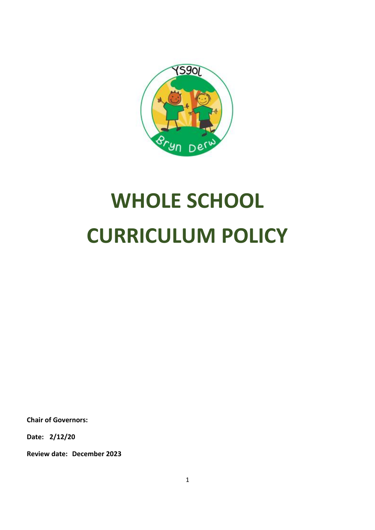

# **WHOLE SCHOOL CURRICULUM POLICY**

**Chair of Governors:**

**Date: 2/12/20**

**Review date: December 2023**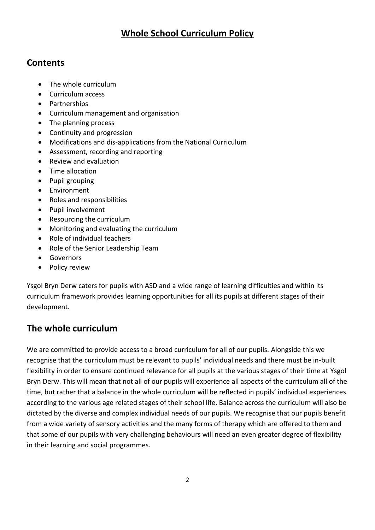## **Whole School Curriculum Policy**

#### **Contents**

- The whole curriculum
- Curriculum access
- Partnerships
- Curriculum management and organisation
- The planning process
- Continuity and progression
- Modifications and dis-applications from the National Curriculum
- Assessment, recording and reporting
- Review and evaluation
- Time allocation
- Pupil grouping
- Environment
- Roles and responsibilities
- Pupil involvement
- Resourcing the curriculum
- Monitoring and evaluating the curriculum
- Role of individual teachers
- Role of the Senior Leadership Team
- Governors
- Policy review

Ysgol Bryn Derw caters for pupils with ASD and a wide range of learning difficulties and within its curriculum framework provides learning opportunities for all its pupils at different stages of their development.

# **The whole curriculum**

We are committed to provide access to a broad curriculum for all of our pupils. Alongside this we recognise that the curriculum must be relevant to pupils' individual needs and there must be in-built flexibility in order to ensure continued relevance for all pupils at the various stages of their time at Ysgol Bryn Derw. This will mean that not all of our pupils will experience all aspects of the curriculum all of the time, but rather that a balance in the whole curriculum will be reflected in pupils' individual experiences according to the various age related stages of their school life. Balance across the curriculum will also be dictated by the diverse and complex individual needs of our pupils. We recognise that our pupils benefit from a wide variety of sensory activities and the many forms of therapy which are offered to them and that some of our pupils with very challenging behaviours will need an even greater degree of flexibility in their learning and social programmes.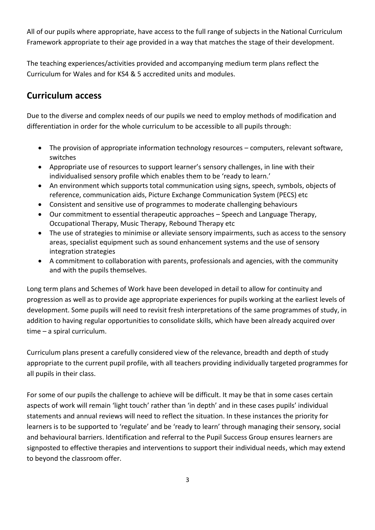All of our pupils where appropriate, have access to the full range of subjects in the National Curriculum Framework appropriate to their age provided in a way that matches the stage of their development.

The teaching experiences/activities provided and accompanying medium term plans reflect the Curriculum for Wales and for KS4 & 5 accredited units and modules.

## **Curriculum access**

Due to the diverse and complex needs of our pupils we need to employ methods of modification and differentiation in order for the whole curriculum to be accessible to all pupils through:

- The provision of appropriate information technology resources computers, relevant software, switches
- Appropriate use of resources to support learner's sensory challenges, in line with their individualised sensory profile which enables them to be 'ready to learn.'
- An environment which supports total communication using signs, speech, symbols, objects of reference, communication aids, Picture Exchange Communication System (PECS) etc
- Consistent and sensitive use of programmes to moderate challenging behaviours
- Our commitment to essential therapeutic approaches Speech and Language Therapy, Occupational Therapy, Music Therapy, Rebound Therapy etc
- The use of strategies to minimise or alleviate sensory impairments, such as access to the sensory areas, specialist equipment such as sound enhancement systems and the use of sensory integration strategies
- A commitment to collaboration with parents, professionals and agencies, with the community and with the pupils themselves.

Long term plans and Schemes of Work have been developed in detail to allow for continuity and progression as well as to provide age appropriate experiences for pupils working at the earliest levels of development. Some pupils will need to revisit fresh interpretations of the same programmes of study, in addition to having regular opportunities to consolidate skills, which have been already acquired over time – a spiral curriculum.

Curriculum plans present a carefully considered view of the relevance, breadth and depth of study appropriate to the current pupil profile, with all teachers providing individually targeted programmes for all pupils in their class.

For some of our pupils the challenge to achieve will be difficult. It may be that in some cases certain aspects of work will remain 'light touch' rather than 'in depth' and in these cases pupils' individual statements and annual reviews will need to reflect the situation. In these instances the priority for learners is to be supported to 'regulate' and be 'ready to learn' through managing their sensory, social and behavioural barriers. Identification and referral to the Pupil Success Group ensures learners are signposted to effective therapies and interventions to support their individual needs, which may extend to beyond the classroom offer.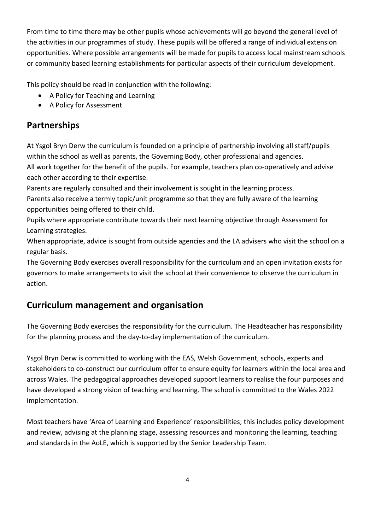From time to time there may be other pupils whose achievements will go beyond the general level of the activities in our programmes of study. These pupils will be offered a range of individual extension opportunities. Where possible arrangements will be made for pupils to access local mainstream schools or community based learning establishments for particular aspects of their curriculum development.

This policy should be read in conjunction with the following:

- A Policy for Teaching and Learning
- A Policy for Assessment

## **Partnerships**

At Ysgol Bryn Derw the curriculum is founded on a principle of partnership involving all staff/pupils within the school as well as parents, the Governing Body, other professional and agencies.

All work together for the benefit of the pupils. For example, teachers plan co-operatively and advise each other according to their expertise.

Parents are regularly consulted and their involvement is sought in the learning process.

Parents also receive a termly topic/unit programme so that they are fully aware of the learning opportunities being offered to their child.

Pupils where appropriate contribute towards their next learning objective through Assessment for Learning strategies.

When appropriate, advice is sought from outside agencies and the LA advisers who visit the school on a regular basis.

The Governing Body exercises overall responsibility for the curriculum and an open invitation exists for governors to make arrangements to visit the school at their convenience to observe the curriculum in action.

# **Curriculum management and organisation**

The Governing Body exercises the responsibility for the curriculum. The Headteacher has responsibility for the planning process and the day-to-day implementation of the curriculum.

Ysgol Bryn Derw is committed to working with the EAS, Welsh Government, schools, experts and stakeholders to co-construct our curriculum offer to ensure equity for learners within the local area and across Wales. The pedagogical approaches developed support learners to realise the four purposes and have developed a strong vision of teaching and learning. The school is committed to the Wales 2022 implementation.

Most teachers have 'Area of Learning and Experience' responsibilities; this includes policy development and review, advising at the planning stage, assessing resources and monitoring the learning, teaching and standards in the AoLE, which is supported by the Senior Leadership Team.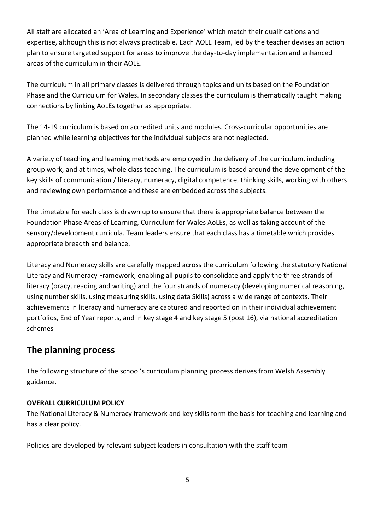All staff are allocated an 'Area of Learning and Experience' which match their qualifications and expertise, although this is not always practicable. Each AOLE Team, led by the teacher devises an action plan to ensure targeted support for areas to improve the day-to-day implementation and enhanced areas of the curriculum in their AOLE.

The curriculum in all primary classes is delivered through topics and units based on the Foundation Phase and the Curriculum for Wales. In secondary classes the curriculum is thematically taught making connections by linking AoLEs together as appropriate.

The 14-19 curriculum is based on accredited units and modules. Cross-curricular opportunities are planned while learning objectives for the individual subjects are not neglected.

A variety of teaching and learning methods are employed in the delivery of the curriculum, including group work, and at times, whole class teaching. The curriculum is based around the development of the key skills of communication / literacy, numeracy, digital competence, thinking skills, working with others and reviewing own performance and these are embedded across the subjects.

The timetable for each class is drawn up to ensure that there is appropriate balance between the Foundation Phase Areas of Learning, Curriculum for Wales AoLEs, as well as taking account of the sensory/development curricula. Team leaders ensure that each class has a timetable which provides appropriate breadth and balance.

Literacy and Numeracy skills are carefully mapped across the curriculum following the statutory National Literacy and Numeracy Framework; enabling all pupils to consolidate and apply the three strands of literacy (oracy, reading and writing) and the four strands of numeracy (developing numerical reasoning, using number skills, using measuring skills, using data Skills) across a wide range of contexts. Their achievements in literacy and numeracy are captured and reported on in their individual achievement portfolios, End of Year reports, and in key stage 4 and key stage 5 (post 16), via national accreditation schemes

### **The planning process**

The following structure of the school's curriculum planning process derives from Welsh Assembly guidance.

#### **OVERALL CURRICULUM POLICY**

The National Literacy & Numeracy framework and key skills form the basis for teaching and learning and has a clear policy.

Policies are developed by relevant subject leaders in consultation with the staff team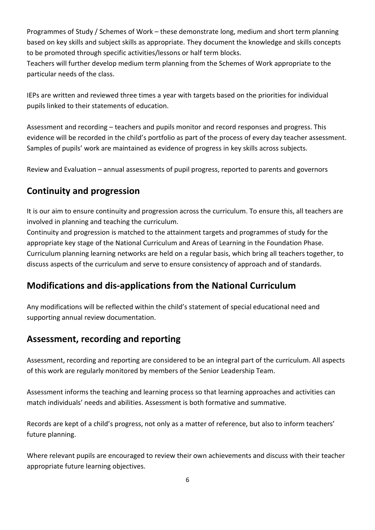Programmes of Study / Schemes of Work – these demonstrate long, medium and short term planning based on key skills and subject skills as appropriate. They document the knowledge and skills concepts to be promoted through specific activities/lessons or half term blocks.

Teachers will further develop medium term planning from the Schemes of Work appropriate to the particular needs of the class.

IEPs are written and reviewed three times a year with targets based on the priorities for individual pupils linked to their statements of education.

Assessment and recording – teachers and pupils monitor and record responses and progress. This evidence will be recorded in the child's portfolio as part of the process of every day teacher assessment. Samples of pupils' work are maintained as evidence of progress in key skills across subjects.

Review and Evaluation – annual assessments of pupil progress, reported to parents and governors

## **Continuity and progression**

It is our aim to ensure continuity and progression across the curriculum. To ensure this, all teachers are involved in planning and teaching the curriculum.

Continuity and progression is matched to the attainment targets and programmes of study for the appropriate key stage of the National Curriculum and Areas of Learning in the Foundation Phase. Curriculum planning learning networks are held on a regular basis, which bring all teachers together, to discuss aspects of the curriculum and serve to ensure consistency of approach and of standards.

## **Modifications and dis-applications from the National Curriculum**

Any modifications will be reflected within the child's statement of special educational need and supporting annual review documentation.

## **Assessment, recording and reporting**

Assessment, recording and reporting are considered to be an integral part of the curriculum. All aspects of this work are regularly monitored by members of the Senior Leadership Team.

Assessment informs the teaching and learning process so that learning approaches and activities can match individuals' needs and abilities. Assessment is both formative and summative.

Records are kept of a child's progress, not only as a matter of reference, but also to inform teachers' future planning.

Where relevant pupils are encouraged to review their own achievements and discuss with their teacher appropriate future learning objectives.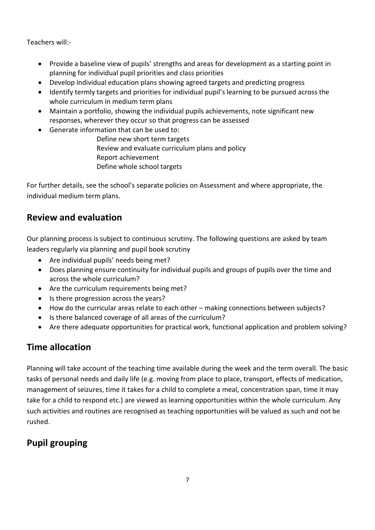Teachers will:-

- Provide a baseline view of pupils' strengths and areas for development as a starting point in planning for individual pupil priorities and class priorities
- Develop individual education plans showing agreed targets and predicting progress
- Identify termly targets and priorities for individual pupil's learning to be pursued across the whole curriculum in medium term plans
- Maintain a portfolio, showing the individual pupils achievements, note significant new responses, wherever they occur so that progress can be assessed
- Generate information that can be used to:
	- Define new short term targets Review and evaluate curriculum plans and policy Report achievement Define whole school targets

For further details, see the school's separate policies on Assessment and where appropriate, the individual medium term plans.

## **Review and evaluation**

Our planning process is subject to continuous scrutiny. The following questions are asked by team leaders regularly via planning and pupil book scrutiny

- Are individual pupils' needs being met?
- Does planning ensure continuity for individual pupils and groups of pupils over the time and across the whole curriculum?
- Are the curriculum requirements being met?
- Is there progression across the years?
- How do the curricular areas relate to each other making connections between subjects?
- Is there balanced coverage of all areas of the curriculum?
- Are there adequate opportunities for practical work, functional application and problem solving?

# **Time allocation**

Planning will take account of the teaching time available during the week and the term overall. The basic tasks of personal needs and daily life (e.g. moving from place to place, transport, effects of medication, management of seizures, time it takes for a child to complete a meal, concentration span, time it may take for a child to respond etc.) are viewed as learning opportunities within the whole curriculum. Any such activities and routines are recognised as teaching opportunities will be valued as such and not be rushed.

# **Pupil grouping**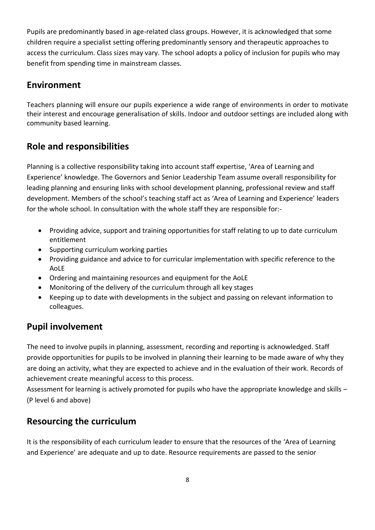Pupils are predominantly based in age-related class groups. However, it is acknowledged that some children require a specialist setting offering predominantly sensory and therapeutic approaches to access the curriculum. Class sizes may vary. The school adopts a policy of inclusion for pupils who may benefit from spending time in mainstream classes.

## **Environment**

Teachers planning will ensure our pupils experience a wide range of environments in order to motivate their interest and encourage generalisation of skills. Indoor and outdoor settings are included along with community based learning.

## **Role and responsibilities**

Planning is a collective responsibility taking into account staff expertise, 'Area of Learning and Experience' knowledge. The Governors and Senior Leadership Team assume overall responsibility for leading planning and ensuring links with school development planning, professional review and staff development. Members of the school's teaching staff act as 'Area of Learning and Experience' leaders for the whole school. In consultation with the whole staff they are responsible for:-

- Providing advice, support and training opportunities for staff relating to up to date curriculum entitlement
- Supporting curriculum working parties
- Providing guidance and advice to for curricular implementation with specific reference to the AoLE
- Ordering and maintaining resources and equipment for the AoLE
- Monitoring of the delivery of the curriculum through all key stages
- Keeping up to date with developments in the subject and passing on relevant information to colleagues.

### **Pupil involvement**

The need to involve pupils in planning, assessment, recording and reporting is acknowledged. Staff provide opportunities for pupils to be involved in planning their learning to be made aware of why they are doing an activity, what they are expected to achieve and in the evaluation of their work. Records of achievement create meaningful access to this process.

Assessment for learning is actively promoted for pupils who have the appropriate knowledge and skills – (P level 6 and above)

### **Resourcing the curriculum**

It is the responsibility of each curriculum leader to ensure that the resources of the 'Area of Learning and Experience' are adequate and up to date. Resource requirements are passed to the senior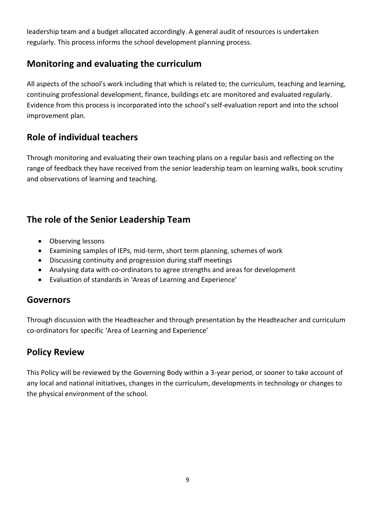leadership team and a budget allocated accordingly. A general audit of resources is undertaken regularly. This process informs the school development planning process.

## **Monitoring and evaluating the curriculum**

All aspects of the school's work including that which is related to; the curriculum, teaching and learning, continuing professional development, finance, buildings etc are monitored and evaluated regularly. Evidence from this process is incorporated into the school's self-evaluation report and into the school improvement plan.

# **Role of individual teachers**

Through monitoring and evaluating their own teaching plans on a regular basis and reflecting on the range of feedback they have received from the senior leadership team on learning walks, book scrutiny and observations of learning and teaching.

# **The role of the Senior Leadership Team**

- Observing lessons
- Examining samples of IEPs, mid-term, short term planning, schemes of work
- Discussing continuity and progression during staff meetings
- Analysing data with co-ordinators to agree strengths and areas for development
- Evaluation of standards in 'Areas of Learning and Experience'

### **Governors**

Through discussion with the Headteacher and through presentation by the Headteacher and curriculum co-ordinators for specific 'Area of Learning and Experience'

# **Policy Review**

This Policy will be reviewed by the Governing Body within a 3-year period, or sooner to take account of any local and national initiatives, changes in the curriculum, developments in technology or changes to the physical environment of the school.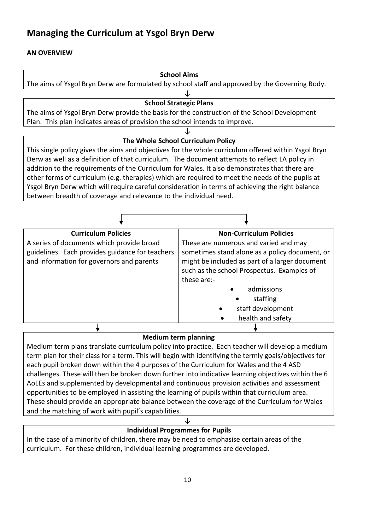# **Managing the Curriculum at Ysgol Bryn Derw**

#### **AN OVERVIEW**

| <b>School Aims</b>                                                                                  |                                                |
|-----------------------------------------------------------------------------------------------------|------------------------------------------------|
| The aims of Ysgol Bryn Derw are formulated by school staff and approved by the Governing Body.      |                                                |
|                                                                                                     |                                                |
| <b>School Strategic Plans</b>                                                                       |                                                |
| The aims of Ysgol Bryn Derw provide the basis for the construction of the School Development        |                                                |
| Plan. This plan indicates areas of provision the school intends to improve.                         |                                                |
|                                                                                                     |                                                |
| The Whole School Curriculum Policy                                                                  |                                                |
| This single policy gives the aims and objectives for the whole curriculum offered within Ysgol Bryn |                                                |
| Derw as well as a definition of that curriculum. The document attempts to reflect LA policy in      |                                                |
| addition to the requirements of the Curriculum for Wales. It also demonstrates that there are       |                                                |
| other forms of curriculum (e.g. therapies) which are required to meet the needs of the pupils at    |                                                |
| Ysgol Bryn Derw which will require careful consideration in terms of achieving the right balance    |                                                |
| between breadth of coverage and relevance to the individual need.                                   |                                                |
|                                                                                                     |                                                |
|                                                                                                     |                                                |
| <b>Curriculum Policies</b>                                                                          | <b>Non-Curriculum Policies</b>                 |
| A series of documents which provide broad                                                           | These are numerous and varied and may          |
| guidelines. Each provides guidance for teachers                                                     | sometimes stand alone as a policy document, or |
| and information for governors and parents                                                           | might be included as part of a larger document |
|                                                                                                     | such as the school Prospectus. Examples of     |
|                                                                                                     | these are:-                                    |
|                                                                                                     | admissions                                     |
|                                                                                                     | staffing                                       |
|                                                                                                     | staff development                              |
|                                                                                                     |                                                |
|                                                                                                     | health and safety                              |
|                                                                                                     |                                                |

#### **Medium term planning**

Medium term plans translate curriculum policy into practice. Each teacher will develop a medium term plan for their class for a term. This will begin with identifying the termly goals/objectives for each pupil broken down within the 4 purposes of the Curriculum for Wales and the 4 ASD challenges. These will then be broken down further into indicative learning objectives within the 6 AoLEs and supplemented by developmental and continuous provision activities and assessment opportunities to be employed in assisting the learning of pupils within that curriculum area. These should provide an appropriate balance between the coverage of the Curriculum for Wales and the matching of work with pupil's capabilities.

#### ↓ **Individual Programmes for Pupils**

In the case of a minority of children, there may be need to emphasise certain areas of the curriculum. For these children, individual learning programmes are developed.